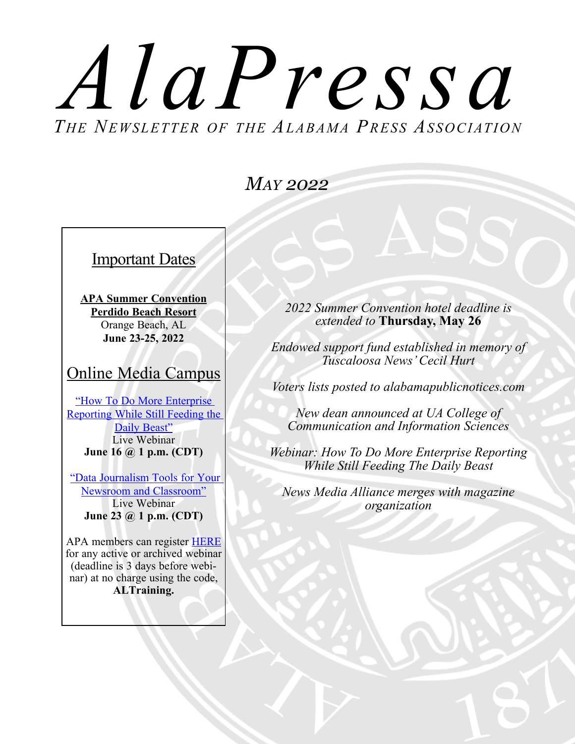# *T he Newsletter of the Alabama Press AssociationAlaPressa*

### *May 2022*

Important Dates

**APA Summer Convention Perdido Beach Resort** Orange Beach, AL **June 23-25, 2022**

#### Online Media Campus

["How To Do More Enterprise](https://onlinemediacampus.com/webinars/)  [Reporting While Still Feeding the](https://onlinemediacampus.com/webinars/)  [Daily Beast"](https://onlinemediacampus.com/webinars/) Live Webinar **June 16 @ 1 p.m. (CDT)**

["Data Journalism Tools for Your](https://onlinemediacampus.com/webinars/)  [Newsroom and Classroom"](https://onlinemediacampus.com/webinars/) Live Webinar **June 23 @ 1 p.m. (CDT)**

APA members can register [HERE](https://secure.inanews.com/np/clients/inanews/eventRegistration.jsp?forwardedFromSecureDomain=1&event=1050&&utm_source=BenchmarkEmail&utm_campaign=OMC_Weekly_Webinar_8%2f19(2)&utm_medium=email) for any active or archived webinar (deadline is 3 days before webinar) at no charge using the code, **ALTraining.** 

*2022 Summer Convention hotel deadline is extended to* **Thursday, May 26**

*Endowed support fund established in memory of Tuscaloosa News' Cecil Hurt*

*Voters lists posted to alabamapublicnotices.com*

*New dean announced at UA College of Communication and Information Sciences*

*Webinar: How To Do More Enterprise Reporting While Still Feeding The Daily Beast*

*News Media Alliance merges with magazine organization*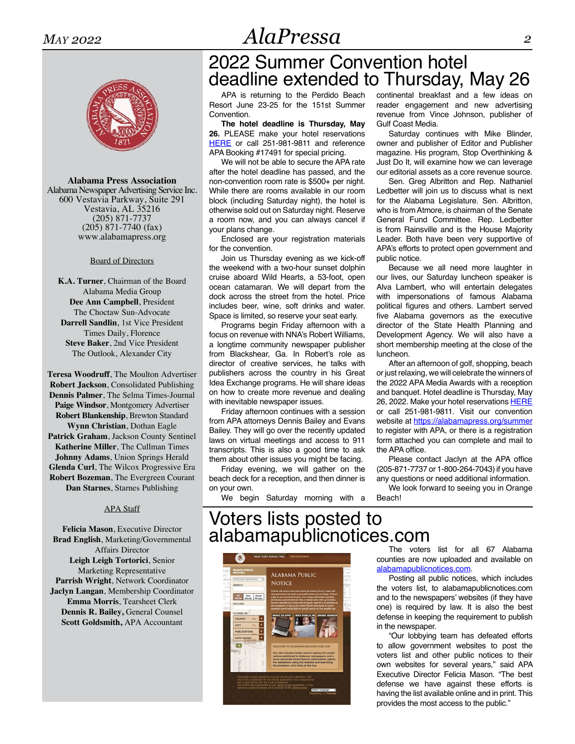**Alabama Press Association** Alabama Newspaper Advertising Service Inc. 600 Vestavia Parkway, Suite 291 Vestavia, AL 35216 (205) 871-7737 (205) 871-7740 (fax) <www.alabamapress.org>

#### Board of Directors

**K.A. Turner**, Chairman of the Board Alabama Media Group **Dee Ann Campbell**, President The Choctaw Sun-Advocate **Darrell Sandlin**, 1st Vice President Times Daily, Florence **Steve Baker**, 2nd Vice President The Outlook, Alexander City

**Teresa Woodruff**, The Moulton Advertiser **Robert Jackson**, Consolidated Publishing **Dennis Palmer**, The Selma Times-Journal **Paige Windsor**, Montgomery Advertiser **Robert Blankenship**, Brewton Standard **Wynn Christian**, Dothan Eagle **Patrick Graham**, Jackson County Sentinel **Katherine Miller**, The Cullman Times **Johnny Adams**, Union Springs Herald **Glenda Curl**, The Wilcox Progressive Era **Robert Bozeman**, The Evergreen Courant **Dan Starnes**, Starnes Publishing

#### APA Staff

**Felicia Mason**, Executive Director **Brad English**, Marketing/Governmental Affairs Director **Leigh Leigh Tortorici**, Senior Marketing Representative **Parrish Wright**, Network Coordinator **Jaclyn Langan**, Membership Coordinator **Emma Morris**, Tearsheet Clerk **Dennis R. Bailey,** General Counsel **Scott Goldsmith,** APA Accountant

## 2022 Summer Convention hotel deadline extended to Thursday, May 26

APA is returning to the Perdido Beach Resort June 23-25 for the 151st Summer **Convention** 

**The hotel deadline is Thursday, May 26.** PLEASE make your hotel reservations [HERE](https://nam11.safelinks.protection.outlook.com/?url=https%3A%2F%2Fperdidobeachresort.reztrip.com%2Fext%2FpromoRate%3Fproperty%3D1888%26mode%3Db%26pm%3Dtrue%26sr%3D681344%26vr%3D4&data=04%7C01%7Cjaclyn%40alabamapress.org%7C527b70c2039c48cc7a8108d9e5c311fa%7C14c3edb0e22346eaa1d10917506a57a3%7C0%7C0%7C637793448256155755%7CUnknown%7CTWFpbGZsb3d8eyJWIjoiMC4wLjAwMDAiLCJQIjoiV2luMzIiLCJBTiI6Ik1haWwiLCJXVCI6Mn0%3D%7C0&sdata=%2F%2BC2MlcACJLRZDXYs4OcA5V4IIHRG7KneHBwu0GH448%3D&reserved=0) or call 251-981-9811 and reference APA Booking #17491 for special pricing.

We will not be able to secure the APA rate after the hotel deadline has passed, and the non-convention room rate is \$500+ per night. While there are rooms available in our room block (including Saturday night), the hotel is otherwise sold out on Saturday night. Reserve a room now, and you can always cancel if your plans change.

Enclosed are your registration materials for the convention.

Join us Thursday evening as we kick-off the weekend with a two-hour sunset dolphin cruise aboard Wild Hearts, a 53-foot, open ocean catamaran. We will depart from the dock across the street from the hotel. Price includes beer, wine, soft drinks and water. Space is limited, so reserve your seat early.

Programs begin Friday afternoon with a focus on revenue with NNA's Robert Williams, a longtime community newspaper publisher from Blackshear, Ga. In Robert's role as director of creative services, he talks with publishers across the country in his Great Idea Exchange programs. He will share ideas on how to create more revenue and dealing with inevitable newspaper issues.

Friday afternoon continues with a session from APA attorneys Dennis Bailey and Evans Bailey. They will go over the recently updated laws on virtual meetings and access to 911 transcripts. This is also a good time to ask them about other issues you might be facing.

Friday evening, we will gather on the beach deck for a reception, and then dinner is on your own.

We begin Saturday morning with a

continental breakfast and a few ideas on reader engagement and new advertising revenue from Vince Johnson, publisher of Gulf Coast Media.

Saturday continues with Mike Blinder, owner and publisher of Editor and Publisher magazine. His program, Stop Overthinking & Just Do It, will examine how we can leverage our editorial assets as a core revenue source.

Sen. Greg Albritton and Rep. Nathaniel Ledbetter will join us to discuss what is next for the Alabama Legislature. Sen. Albritton, who is from Atmore, is chairman of the Senate General Fund Committee. Rep. Ledbetter is from Rainsville and is the House Majority Leader. Both have been very supportive of APA's efforts to protect open government and public notice.

Because we all need more laughter in our lives, our Saturday luncheon speaker is Alva Lambert, who will entertain delegates with impersonations of famous Alabama political figures and others. Lambert served five Alabama governors as the executive director of the State Health Planning and Development Agency. We will also have a short membership meeting at the close of the luncheon.

After an afternoon of golf, shopping, beach or just relaxing, we will celebrate the winners of the 2022 APA Media Awards with a reception and banquet. Hotel deadline is Thursday, May 26, 2022. Make your hotel reservations [HERE](https://nam11.safelinks.protection.outlook.com/?url=https%3A%2F%2Fperdidobeachresort.reztrip.com%2Fext%2FpromoRate%3Fproperty%3D1888%26mode%3Db%26pm%3Dtrue%26sr%3D681344%26vr%3D4&data=04%7C01%7Cjaclyn%40alabamapress.org%7C527b70c2039c48cc7a8108d9e5c311fa%7C14c3edb0e22346eaa1d10917506a57a3%7C0%7C0%7C637793448256155755%7CUnknown%7CTWFpbGZsb3d8eyJWIjoiMC4wLjAwMDAiLCJQIjoiV2luMzIiLCJBTiI6Ik1haWwiLCJXVCI6Mn0%3D%7C0&sdata=%2F%2BC2MlcACJLRZDXYs4OcA5V4IIHRG7KneHBwu0GH448%3D&reserved=0) or call 251-981-9811. Visit our convention website at [https://alabamapress.org/summer](https://alabamapress.org/summer ) to register with APA, or there is a registration form attached you can complete and mail to the APA office.

Please contact Jaclyn at the APA office (205-871-7737 or 1-800-264-7043) if you have any questions or need additional information.

We look forward to seeing you in Orange Beach!

#### Voters lists posted to alabamapublicnotices.com



The voters list for all 67 Alabama counties are now uploaded and available on [alabamapublicnotices.com](http://alabamapublicnotices.com).

Posting all public notices, which includes the voters list, to alabamapublicnotices.com and to the newspapers' websites (if they have one) is required by law. It is also the best defense in keeping the requirement to publish in the newspaper.

"Our lobbying team has defeated efforts to allow government websites to post the voters list and other public notices to their own websites for several years," said APA Executive Director Felicia Mason. "The best defense we have against these efforts is having the list available online and in print. This provides the most access to the public."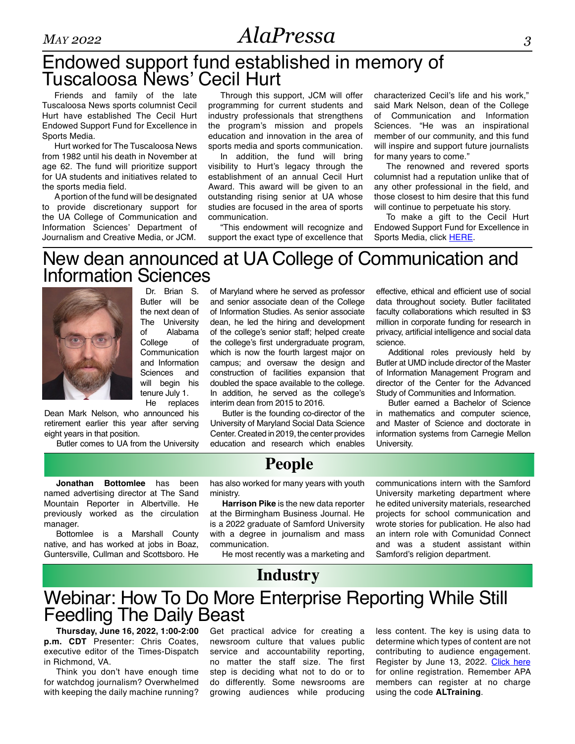### Endowed support fund established in memory of Tuscaloosa News' Cecil Hurt

Friends and family of the late Tuscaloosa News sports columnist Cecil Hurt have established The Cecil Hurt Endowed Support Fund for Excellence in Sports Media.

Hurt worked for The Tuscaloosa News from 1982 until his death in November at age 62. The fund will prioritize support for UA students and initiatives related to the sports media field.

A portion of the fund will be designated to provide discretionary support for the UA College of Communication and Information Sciences' Department of Journalism and Creative Media, or JCM.

Through this support, JCM will offer programming for current students and industry professionals that strengthens the program's mission and propels education and innovation in the area of sports media and sports communication.

In addition, the fund will bring visibility to Hurt's legacy through the establishment of an annual Cecil Hurt Award. This award will be given to an outstanding rising senior at UA whose studies are focused in the area of sports communication.

"This endowment will recognize and support the exact type of excellence that characterized Cecil's life and his work," said Mark Nelson, dean of the College of Communication and Information Sciences. "He was an inspirational member of our community, and this fund will inspire and support future journalists for many years to come."

The renowned and revered sports columnist had a reputation unlike that of any other professional in the field, and those closest to him desire that this fund will continue to perpetuate his story.

To make a gift to the Cecil Hurt Endowed Support Fund for Excellence in Sports Media, click [HERE.](https://give.ua.edu/?d=5A26CB4C-5632-430C-8B65-639CF34244EB)

#### New dean announced at UA College of Communication and Information Sciences

Dr. Brian S. Butler will be the next dean of The University of Alabama College of Communication and Information Sciences and will begin his tenure July 1. He replaces

Dean Mark Nelson, who announced his retirement earlier this year after serving eight years in that position.

Butler comes to UA from the University

of Maryland where he served as professor and senior associate dean of the College of Information Studies. As senior associate dean, he led the hiring and development of the college's senior staff; helped create the college's first undergraduate program, which is now the fourth largest major on campus; and oversaw the design and construction of facilities expansion that doubled the space available to the college. In addition, he served as the college's interim dean from 2015 to 2016.

Butler is the founding co-director of the University of Maryland Social Data Science Center. Created in 2019, the center provides education and research which enables

effective, ethical and efficient use of social data throughout society. Butler facilitated faculty collaborations which resulted in \$3 million in corporate funding for research in privacy, artificial intelligence and social data science.

Additional roles previously held by Butler at UMD include director of the Master of Information Management Program and director of the Center for the Advanced Study of Communities and Information.

Butler earned a Bachelor of Science in mathematics and computer science, and Master of Science and doctorate in information systems from Carnegie Mellon University.

**Jonathan Bottomlee** has been named advertising director at The Sand Mountain Reporter in Albertville. He previously worked as the circulation manager.

Bottomlee is a Marshall County native, and has worked at jobs in Boaz, Guntersville, Cullman and Scottsboro. He **People**

has also worked for many years with youth ministry.

**Harrison Pike** is the new data reporter at the Birmingham Business Journal. He is a 2022 graduate of Samford University with a degree in journalism and mass communication.

He most recently was a marketing and

communications intern with the Samford University marketing department where he edited university materials, researched projects for school communication and wrote stories for publication. He also had an intern role with Comunidad Connect and was a student assistant within Samford's religion department.

### Webinar: How To Do More Enterprise Reporting While Still **Industry**

#### **Thursday, June 16, 2022, 1:00-2:00**  Feedling The Daily Beast

**p.m. CDT** Presenter: Chris Coates, executive editor of the Times-Dispatch in Richmond, VA.

Think you don't have enough time for watchdog journalism? Overwhelmed with keeping the daily machine running? Get practical advice for creating a newsroom culture that values public service and accountability reporting, no matter the staff size. The first step is deciding what not to do or to do differently. Some newsrooms are growing audiences while producing

less content. The key is using data to determine which types of content are not contributing to audience engagement. Register by June 13, 2022. [Click here](https://onlinemediacampus.com/webinars/) for online registration. Remember APA members can register at no charge using the code **ALTraining**.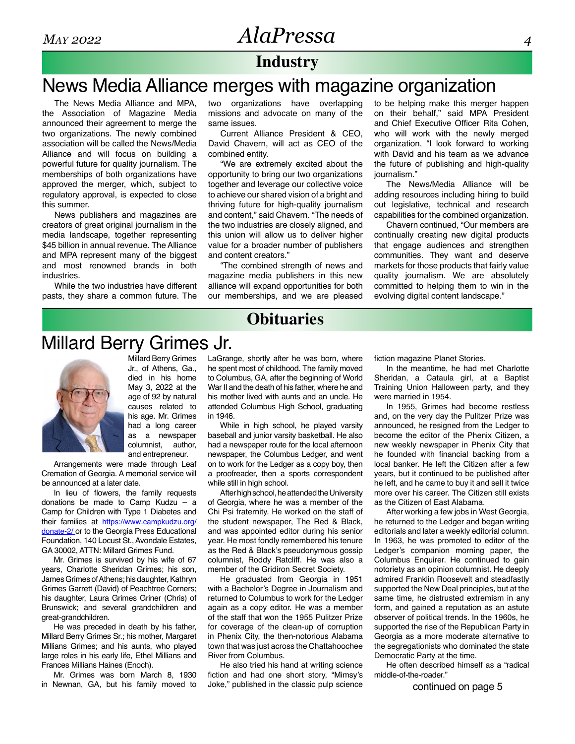#### **Industry**

# News Media Alliance merges with magazine organization

The News Media Alliance and MPA, the Association of Magazine Media announced their agreement to merge the two organizations. The newly combined association will be called the News/Media Alliance and will focus on building a powerful future for quality journalism. The memberships of both organizations have approved the merger, which, subject to regulatory approval, is expected to close this summer.

News publishers and magazines are creators of great original journalism in the media landscape, together representing \$45 billion in annual revenue. The Alliance and MPA represent many of the biggest and most renowned brands in both industries.

While the two industries have different pasts, they share a common future. The two organizations have overlapping missions and advocate on many of the same issues.

Current Alliance President & CEO, David Chavern, will act as CEO of the combined entity.

"We are extremely excited about the opportunity to bring our two organizations together and leverage our collective voice to achieve our shared vision of a bright and thriving future for high-quality journalism and content," said Chavern. "The needs of the two industries are closely aligned, and this union will allow us to deliver higher value for a broader number of publishers and content creators."

"The combined strength of news and magazine media publishers in this new alliance will expand opportunities for both our memberships, and we are pleased to be helping make this merger happen on their behalf," said MPA President and Chief Executive Officer Rita Cohen, who will work with the newly merged organization. "I look forward to working with David and his team as we advance the future of publishing and high-quality journalism."

The News/Media Alliance will be adding resources including hiring to build out legislative, technical and research capabilities for the combined organization.

Chavern continued, "Our members are continually creating new digital products that engage audiences and strengthen communities. They want and deserve markets for those products that fairly value quality journalism. We are absolutely committed to helping them to win in the evolving digital content landscape."

# **Obituaries**

### Millard Berry Grimes Jr.



Millard Berry Grimes Jr., of Athens, Ga., died in his home May 3, 2022 at the age of 92 by natural causes related to his age. Mr. Grimes had a long career as a newspaper columnist, author, and entrepreneur.

Arrangements were made through Leaf Cremation of Georgia. A memorial service will be announced at a later date.

In lieu of flowers, the family requests donations be made to Camp Kudzu – a Camp for Children with Type 1 Diabetes and their families at [https://www.campkudzu.org/](https://www.campkudzu.org/donate-2/ ) [donate-2/](https://www.campkudzu.org/donate-2/ ) or to the Georgia Press Educational Foundation, 140 Locust St., Avondale Estates, GA 30002, ATTN: Millard Grimes Fund.

Mr. Grimes is survived by his wife of 67 years, Charlotte Sheridan Grimes; his son, James Grimes of Athens; his daughter, Kathryn Grimes Garrett (David) of Peachtree Corners; his daughter, Laura Grimes Griner (Chris) of Brunswick; and several grandchildren and great-grandchildren.

He was preceded in death by his father, Millard Berry Grimes Sr.; his mother, Margaret Millians Grimes; and his aunts, who played large roles in his early life, Ethel Millians and Frances Millians Haines (Enoch).

Mr. Grimes was born March 8, 1930 in Newnan, GA, but his family moved to LaGrange, shortly after he was born, where he spent most of childhood. The family moved to Columbus, GA, after the beginning of World War II and the death of his father, where he and his mother lived with aunts and an uncle. He attended Columbus High School, graduating in 1946.

While in high school, he played varsity baseball and junior varsity basketball. He also had a newspaper route for the local afternoon newspaper, the Columbus Ledger, and went on to work for the Ledger as a copy boy, then a proofreader, then a sports correspondent while still in high school.

After high school, he attended the University of Georgia, where he was a member of the Chi Psi fraternity. He worked on the staff of the student newspaper, The Red & Black, and was appointed editor during his senior year. He most fondly remembered his tenure as the Red & Black's pseudonymous gossip columnist, Roddy Ratcliff. He was also a member of the Gridiron Secret Society.

He graduated from Georgia in 1951 with a Bachelor's Degree in Journalism and returned to Columbus to work for the Ledger again as a copy editor. He was a member of the staff that won the 1955 Pulitzer Prize for coverage of the clean-up of corruption in Phenix City, the then-notorious Alabama town that was just across the Chattahoochee River from Columbus.

He also tried his hand at writing science fiction and had one short story, "Mimsy's Joke," published in the classic pulp science fiction magazine Planet Stories.

In the meantime, he had met Charlotte Sheridan, a Cataula girl, at a Baptist Training Union Halloween party, and they were married in 1954.

In 1955, Grimes had become restless and, on the very day the Pulitzer Prize was announced, he resigned from the Ledger to become the editor of the Phenix Citizen, a new weekly newspaper in Phenix City that he founded with financial backing from a local banker. He left the Citizen after a few years, but it continued to be published after he left, and he came to buy it and sell it twice more over his career. The Citizen still exists as the Citizen of East Alabama.

After working a few jobs in West Georgia, he returned to the Ledger and began writing editorials and later a weekly editorial column. In 1963, he was promoted to editor of the Ledger's companion morning paper, the Columbus Enquirer. He continued to gain notoriety as an opinion columnist. He deeply admired Franklin Roosevelt and steadfastly supported the New Deal principles, but at the same time, he distrusted extremism in any form, and gained a reputation as an astute observer of political trends. In the 1960s, he supported the rise of the Republican Party in Georgia as a more moderate alternative to the segregationists who dominated the state Democratic Party at the time.

He often described himself as a "radical middle-of-the-roader."

continued on page 5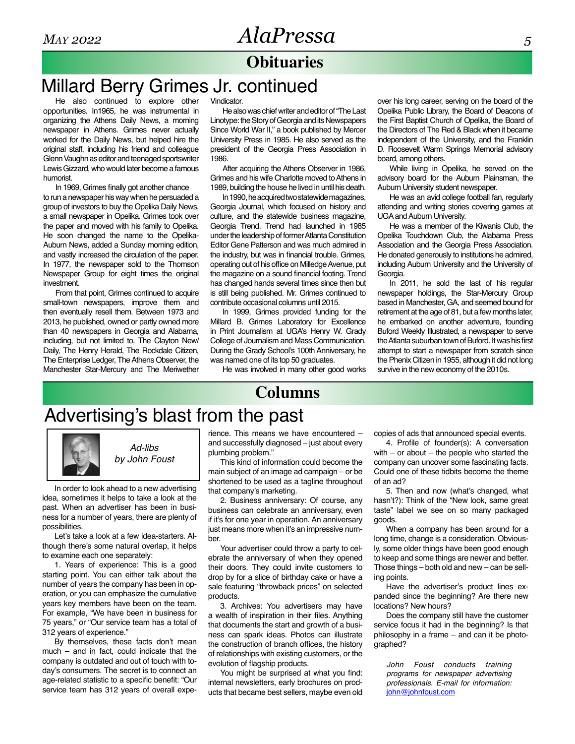# **Obituaries**

# Millard Berry Grimes Jr. continued

He also continued to explore other opportunities. In1965, he was instrumental in organizing the Athens Daily News, a morning newspaper in Athens. Grimes never actually worked for the Daily News, but helped hire the original staff, including his friend and colleague Glenn Vaughn as editor and teenaged sportswriter Lewis Gizzard, who would later become a famous humorist.

In 1969, Grimes finally got another chance to run a newspaper his way when he persuaded a group of investors to buy the Opelika Daily News, a small newspaper in Opelika. Grimes took over the paper and moved with his family to Opelika. He soon changed the name to the Opelika-Auburn News, added a Sunday morning edition, and vastly increased the circulation of the paper. In 1977, the newspaper sold to the Thomson Newspaper Group for eight times the original investment.

From that point, Grimes continued to acquire small-town newspapers, improve them and then eventually resell them. Between 1973 and 2013, he published, owned or partly owned more than 40 newspapers in Georgia and Alabama, including, but not limited to, The Clayton New/ Daily, The Henry Herald, The Rockdale Citizen, The Enterprise Ledger, The Athens Observer, the Manchester Star-Mercury and The Meriwether

Vindicator.

He also was chief writer and editor of "The Last Linotype: the Story of Georgia and its Newspapers Since World War II," a book published by Mercer University Press in 1985. He also served as the president of the Georgia Press Association in 1986.

After acquiring the Athens Observer in 1986, Grimes and his wife Charlotte moved to Athens in 1989, building the house he lived in until his death.

In 1990, he acquired two statewide magazines, Georgia Journal, which focused on history and culture, and the statewide business magazine, Georgia Trend. Trend had launched in 1985 under the leadership of former Atlanta Constitution Editor Gene Patterson and was much admired in the industry, but was in financial trouble. Grimes, operating out of his office on Milledge Avenue, put the magazine on a sound financial footing. Trend has changed hands several times since then but is still being published. Mr. Grimes continued to contribute occasional columns until 2015.

In 1999, Grimes provided funding for the Millard B. Grimes Laboratory for Excellence in Print Journalism at UGA's Henry W. Grady College of Journalism and Mass Communication. During the Grady School's 100th Anniversary, he was named one of its top 50 graduates.

He was involved in many other good works

**Columns**

over his long career, serving on the board of the Opelika Public Library, the Board of Deacons of the First Baptist Church of Opelika, the Board of the Directors of The Red & Black when it became independent of the University, and the Franklin D. Roosevelt Warm Springs Memorial advisory board, among others.

While living in Opelika, he served on the advisory board for the Auburn Plainsman, the Auburn University student newspaper.

He was an avid college football fan, regularly attending and writing stories covering games at UGA and Auburn University.

He was a member of the Kiwanis Club, the Opelika Touchdown Club, the Alabama Press Association and the Georgia Press Association. He donated generously to institutions he admired, including Auburn University and the University of Georgia.

In 2011, he sold the last of his regular newspaper holdings, the Star-Mercury Group based in Manchester, GA, and seemed bound for retirement at the age of 81, but a few months later, he embarked on another adventure, founding Buford Weekly Illustrated, a newspaper to serve the Atlanta suburban town of Buford. It was his first attempt to start a newspaper from scratch since the Phenix Citizen in 1955, although it did not long survive in the new economy of the 2010s.

# Advertising's blast from the past



*Ad-libs by John Foust*

In order to look ahead to a new advertising idea, sometimes it helps to take a look at the past. When an advertiser has been in business for a number of years, there are plenty of possibilities.

Let's take a look at a few idea-starters. Although there's some natural overlap, it helps to examine each one separately:

1. Years of experience: This is a good starting point. You can either talk about the number of years the company has been in operation, or you can emphasize the cumulative years key members have been on the team. For example, "We have been in business for 75 years," or "Our service team has a total of 312 years of experience."

By themselves, these facts don't mean much – and in fact, could indicate that the company is outdated and out of touch with today's consumers. The secret is to connect an age-related statistic to a specific benefit: "Our service team has 312 years of overall expe-

rience. This means we have encountered – and successfully diagnosed – just about every plumbing problem."

This kind of information could become the main subject of an image ad campaign – or be shortened to be used as a tagline throughout that company's marketing.

2. Business anniversary: Of course, any business can celebrate an anniversary, even if it's for one year in operation. An anniversary just means more when it's an impressive number.

Your advertiser could throw a party to celebrate the anniversary of when they opened their doors. They could invite customers to drop by for a slice of birthday cake or have a sale featuring "throwback prices" on selected products.

3. Archives: You advertisers may have a wealth of inspiration in their files. Anything that documents the start and growth of a business can spark ideas. Photos can illustrate the construction of branch offices, the history of relationships with existing customers, or the evolution of flagship products.

You might be surprised at what you find: internal newsletters, early brochures on products that became best sellers, maybe even old copies of ads that announced special events.

4. Profile of founder(s): A conversation with – or about – the people who started the company can uncover some fascinating facts. Could one of these tidbits become the theme of an ad?

5. Then and now (what's changed, what hasn't?): Think of the "New look, same great taste" label we see on so many packaged goods.

When a company has been around for a long time, change is a consideration. Obviously, some older things have been good enough to keep and some things are newer and better. Those things – both old and new – can be selling points.

Have the advertiser's product lines expanded since the beginning? Are there new locations? New hours?

Does the company still have the customer service focus it had in the beginning? Is that philosophy in a frame – and can it be photographed?

*John Foust conducts training programs for newspaper advertising professionals. E-mail for information:*  john@johnfoust.com